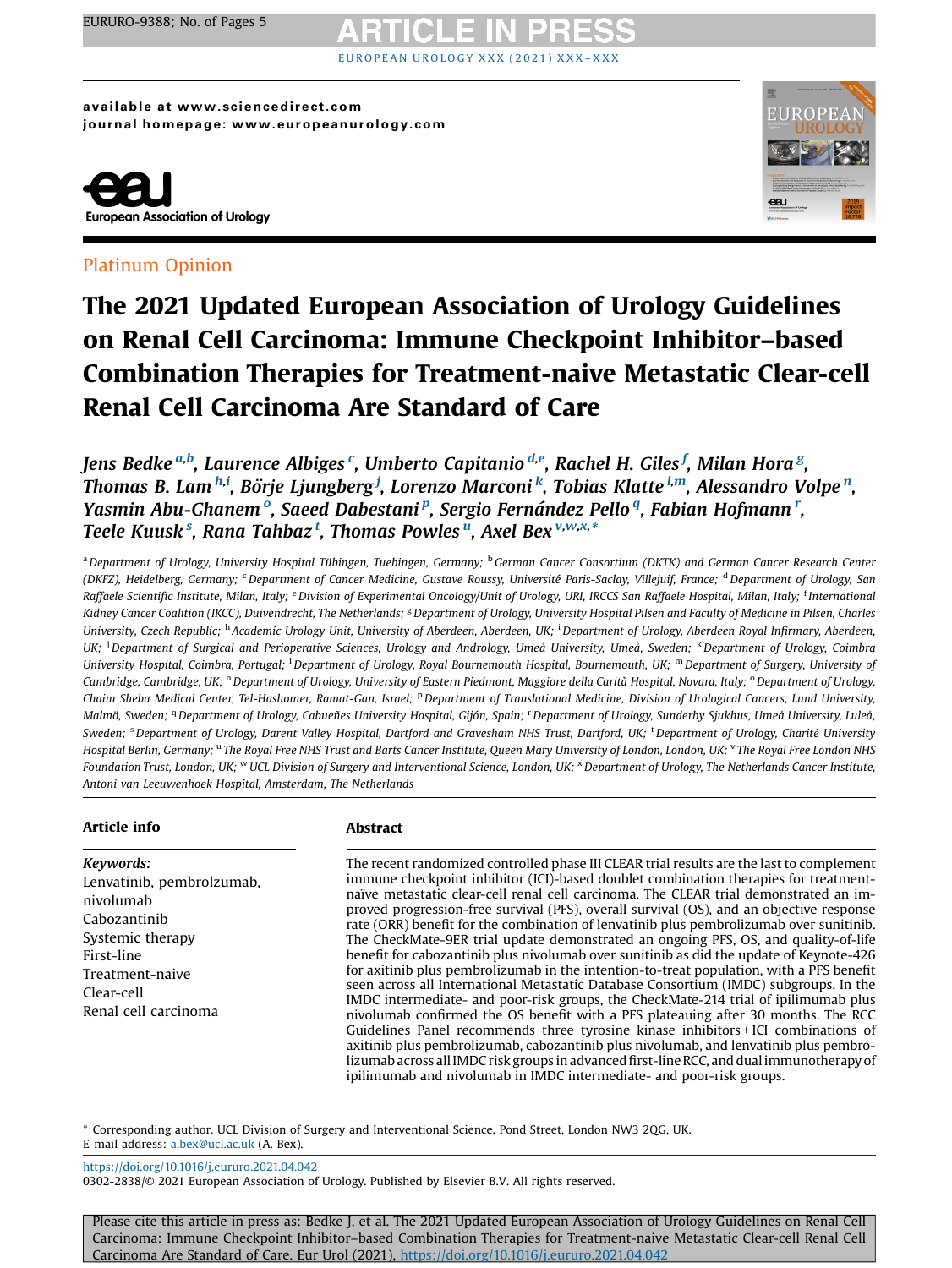# OPEA[N](https://doi.org/10.1016/j.eururo.2021.04.042) UROLOGY XXX (2021) XXX

available at www.sciencedirect.com journal homepage: www.europeanurology.com



## Platinum Opinion



## The 2021 Updated European Association of Urology Guidelines on Renal Cell Carcinoma: Immune Checkpoint Inhibitor–based Combination Therapies for Treatment-naive Metastatic Clear-cell Renal Cell Carcinoma Are Standard of Care

Jens Bedke <sup>a,b</sup>, Laurence Albiges <sup>c</sup>, Umberto Capitanio <sup>d,e</sup>, Rachel H. Giles <sup>f</sup>, Milan Hora <sup>g</sup>, Thomas B. Lam <sup>h,i</sup>, Börje Ljungberg <sup>j</sup>, Lorenzo Marconi <sup>k</sup>, Tobias Klatte <sup>l,m</sup>, Alessandro Volpe <sup>n</sup>, Yasmin Abu-Ghanemº, Saeed Dabestani<sup>p</sup>, Sergio Fernández Pelloª, Fabian Hofmann<sup>r</sup>, Teele Kuusk§, Rana Tahbaz†, Thomas Powles", Axel Bex<sup>v,w,x,</sup>\*

<sup>a</sup> Department of Urology, University Hospital Tübingen, Tuebingen, Germany; <sup>b</sup>German Cancer Consortium (DKTK) and German Cancer Research Center (DKFZ), Heidelberg, Germany; <sup>c</sup> Department of Cancer Medicine, Gustave Roussy, Université Paris-Saclay, Villejuif, France; <sup>d</sup> Department of Urology, San Raffaele Scientific Institute, Milan, Italy; <sup>e</sup> Division of Experimental Oncology/Unit of Urology, URI, IRCCS San Raffaele Hospital, Milan, Italy; <sup>f</sup> International Kidney Cancer Coalition (IKCC), Duivendrecht, The Netherlands; <sup>g</sup> Department of Urology, University Hospital Pilsen and Faculty of Medicine in Pilsen, Charles University, Czech Republic; <sup>h</sup> Academic Urology Unit, University of Aberdeen, Aberdeen, UK; <sup>i</sup> Department of Urology, Aberdeen Royal Infirmary, Aberdeen, UK; <sup>j</sup> Department of Surgical and Perioperative Sciences, Urology and Andrology, Umeå University, Umeå, Sweden; <sup>k</sup> Department of Urology, Coimbra University Hospital, Coimbra, Portugal; <sup>1</sup> Department of Urology, Royal Bournemouth Hospital, Bournemouth, UK; <sup>m</sup> Department of Surgery, University of Cambridge, Cambridge, UK; <sup>n</sup> Department of Urology, University of Eastern Piedmont, Maggiore della Carità Hospital, Novara, Italy; <sup>o</sup> Department of Urology, Chaim Sheba Medical Center, Tel-Hashomer, Ramat-Gan, Israel; <sup>p</sup>Department of Translational Medicine, Division of Urological Cancers, Lund University, Malmö, Sweden; <sup>q</sup> Department of Urology, Cabueñes University Hospital, Gijón, Spain; <sup>r</sup> Department of Urology, Sunderby Sjukhus, Umeå University, Luleå, Sweden; <sup>s</sup> Department of Urology, Darent Valley Hospital, Dartford and Gravesham NHS Trust, Dartford, UK; <sup>t</sup> Department of Urology, Charité University Hospital Berlin, Germany; "The Royal Free NHS Trust and Barts Cancer Institute, Queen Mary University of London, London, LOK; YThe Royal Free London NHS Foundation Trust, London, UK; WUCL Division of Surgery and Interventional Science, London, UK;  $^{\text{x}}$  Department of Urology, The Netherlands Cancer Institute, Antoni van Leeuwenhoek Hospital, Amsterdam, The Netherlands

## Article info

Keywords: Lenvatinib, pembrolzumab, nivolumab Cabozantinib Systemic therapy First-line Treatment-naive Clear-cell Renal cell carcinoma

## Abstract

The recent randomized controlled phase III CLEAR trial results are the last to complement immune checkpoint inhibitor (ICI)-based doublet combination therapies for treatmentnaïve metastatic clear-cell renal cell carcinoma. The CLEAR trial demonstrated an improved progression-free survival (PFS), overall survival (OS), and an objective response rate (ORR) benefit for the combination of lenvatinib plus pembrolizumab over sunitinib. The CheckMate-9ER trial update demonstrated an ongoing PFS, OS, and quality-of-life benefit for cabozantinib plus nivolumab over sunitinib as did the update of Keynote-426 for axitinib plus pembrolizumab in the intention-to-treat population, with a PFS benefit seen across all International Metastatic Database Consortium (IMDC) subgroups. In the IMDC intermediate- and poor-risk groups, the CheckMate-214 trial of ipilimumab plus nivolumab confirmed the OS benefit with a PFS plateauing after 30 months. The RCC Guidelines Panel recommends three tyrosine kinase inhibitors + ICI combinations of axitinib plus pembrolizumab, cabozantinib plus nivolumab, and lenvatinib plus pembrolizumab across all IMDC risk groups in advanced first-line RCC, and dual immunotherapy of ipilimumab and nivolumab in IMDC intermediate- and poor-risk groups.

\* Corresponding author. UCL Division of Surgery and Interventional Science, Pond Street, London NW3 2QG, UK. E-mail address: [a.bex@ucl.ac.uk](mailto:a.bex@ucl.ac.uk) (A. Bex).

<https://doi.org/10.1016/j.eururo.2021.04.042>

0302-2838/© 2021 European Association of Urology. Published by Elsevier B.V. All rights reserved.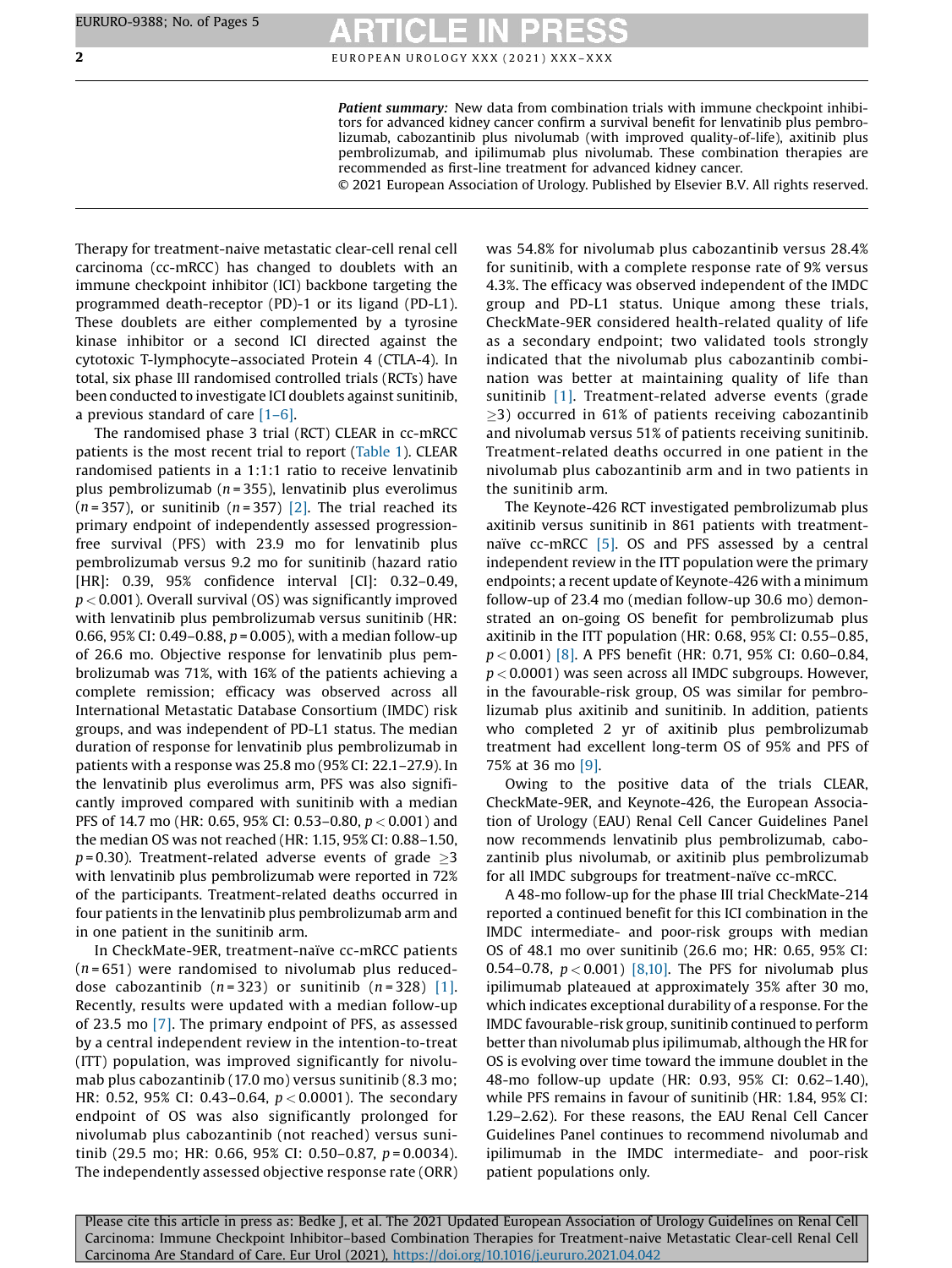## **2** EUROPEAN UROLOGY XXX (2021) XXX-XXX

Patient summary: New data from combination trials with immune checkpoint inhibitors for advanced kidney cancer confirm a survival benefit for lenvatinib plus pembrolizumab, cabozantinib plus nivolumab (with improved quality-of-life), axitinib plus pembrolizumab, and ipilimumab plus nivolumab. These combination therapies are recommended as first-line treatment for advanced kidney cancer.

© 2021 European Association of Urology. Published by Elsevier B.V. All rights reserved.

Therapy for treatment-naive metastatic clear-cell renal cell carcinoma (cc-mRCC) has changed to doublets with an immune checkpoint inhibitor (ICI) backbone targeting the programmed death-receptor (PD)-1 or its ligand (PD-L1). These doublets are either complemented by a tyrosine kinase inhibitor or a second ICI directed against the cytotoxic T-lymphocyte–associated Protein 4 (CTLA-4). In total, six phase III randomised controlled trials (RCTs) have been conducted to investigate ICI doublets against sunitinib, a previous standard of care [1–[6\].](#page-4-0)

The randomised phase 3 trial (RCT) CLEAR in cc-mRCC patients is the most recent trial to report ([Table](#page-2-0) 1). CLEAR randomised patients in a 1:1:1 ratio to receive lenvatinib plus pembrolizumab ( $n = 355$ ), lenvatinib plus everolimus  $(n=357)$ , or sunitinib  $(n=357)$  [\[2\]](#page-4-0). The trial reached its primary endpoint of independently assessed progressionfree survival (PFS) with 23.9 mo for lenvatinib plus pembrolizumab versus 9.2 mo for sunitinib (hazard ratio [HR]: 0.39, 95% confidence interval [CI]: 0.32-0.49,  $p < 0.001$ ). Overall survival (OS) was significantly improved with lenvatinib plus pembrolizumab versus sunitinib (HR: 0.66, 95% CI: 0.49–0.88,  $p = 0.005$ ), with a median follow-up of 26.6 mo. Objective response for lenvatinib plus pembrolizumab was 71%, with 16% of the patients achieving a complete remission; efficacy was observed across all International Metastatic Database Consortium (IMDC) risk groups, and was independent of PD-L1 status. The median duration of response for lenvatinib plus pembrolizumab in patients with a response was 25.8 mo (95% CI: 22.1–27.9). In the lenvatinib plus everolimus arm, PFS was also significantly improved compared with sunitinib with a median PFS of 14.7 mo (HR: 0.65, 95% CI: 0.53–0.80, p < 0.001) and the median OS was not reached (HR: 1.15, 95% CI: 0.88–1.50,  $p = 0.30$ ). Treatment-related adverse events of grade  $>3$ with lenvatinib plus pembrolizumab were reported in 72% of the participants. Treatment-related deaths occurred in four patients in the lenvatinib plus pembrolizumab arm and in one patient in the sunitinib arm.

In CheckMate-9ER, treatment-naïve cc-mRCC patients  $(n = 651)$  were randomised to nivolumab plus reduceddose cabozantinib ( $n = 323$ ) or sunitinib ( $n = 328$ ) [\[1\]](#page-4-0). Recently, results were updated with a median follow-up of 23.5 mo [\[7\].](#page-4-0) The primary endpoint of PFS, as assessed by a central independent review in the intention-to-treat (ITT) population, was improved significantly for nivolumab plus cabozantinib (17.0 mo) versus sunitinib (8.3 mo; HR: 0.52, 95% CI: 0.43–0.64,  $p < 0.0001$ ). The secondary endpoint of OS was also significantly prolonged for nivolumab plus cabozantinib (not reached) versus sunitinib (29.5 mo; HR: 0.66, 95% CI: 0.50–0.87,  $p = 0.0034$ ). The independently assessed objective response rate (ORR)

was 54.8% for nivolumab plus cabozantinib versus 28.4% for sunitinib, with a complete response rate of 9% versus 4.3%. The efficacy was observed independent of the IMDC group and PD-L1 status. Unique among these trials, CheckMate-9ER considered health-related quality of life as a secondary endpoint; two validated tools strongly indicated that the nivolumab plus cabozantinib combination was better at maintaining quality of life than sunitinib [\[1\].](#page-4-0) Treatment-related adverse events (grade  $\geq$ 3) occurred in 61% of patients receiving cabozantinib and nivolumab versus 51% of patients receiving sunitinib. Treatment-related deaths occurred in one patient in the nivolumab plus cabozantinib arm and in two patients in the sunitinib arm.

The Keynote-426 RCT investigated pembrolizumab plus axitinib versus sunitinib in 861 patients with treatmentnaïve cc-mRCC [\[5\].](#page-4-0) OS and PFS assessed by a central independent review in the ITT population were the primary endpoints; a recent update of Keynote-426 with a minimum follow-up of 23.4 mo (median follow-up 30.6 mo) demonstrated an on-going OS benefit for pembrolizumab plus axitinib in the ITT population (HR: 0.68, 95% CI: 0.55–0.85, p < 0.001) [\[8\].](#page-4-0) A PFS benefit (HR: 0.71, 95% CI: 0.60–0.84,  $p < 0.0001$ ) was seen across all IMDC subgroups. However, in the favourable-risk group, OS was similar for pembrolizumab plus axitinib and sunitinib. In addition, patients who completed 2 yr of axitinib plus pembrolizumab treatment had excellent long-term OS of 95% and PFS of 75% at 36 mo [\[9\]](#page-4-0).

Owing to the positive data of the trials CLEAR, CheckMate-9ER, and Keynote-426, the European Association of Urology (EAU) Renal Cell Cancer Guidelines Panel now recommends lenvatinib plus pembrolizumab, cabozantinib plus nivolumab, or axitinib plus pembrolizumab for all IMDC subgroups for treatment-naïve cc-mRCC.

A 48-mo follow-up for the phase III trial CheckMate-214 reported a continued benefit for this ICI combination in the IMDC intermediate- and poor-risk groups with median OS of 48.1 mo over sunitinib (26.6 mo; HR: 0.65, 95% CI: 0.54–0.78,  $p < 0.001$ ) [\[8,10\].](#page-4-0) The PFS for nivolumab plus ipilimumab plateaued at approximately 35% after 30 mo, which indicates exceptional durability of a response. For the IMDC favourable-risk group, sunitinib continued to perform better than nivolumab plus ipilimumab, although the HR for OS is evolving over time toward the immune doublet in the 48-mo follow-up update (HR: 0.93, 95% CI: 0.62–1.40), while PFS remains in favour of sunitinib (HR: 1.84, 95% CI: 1.29–2.62). For these reasons, the EAU Renal Cell Cancer Guidelines Panel continues to recommend nivolumab and ipilimumab in the IMDC intermediate- and poor-risk patient populations only.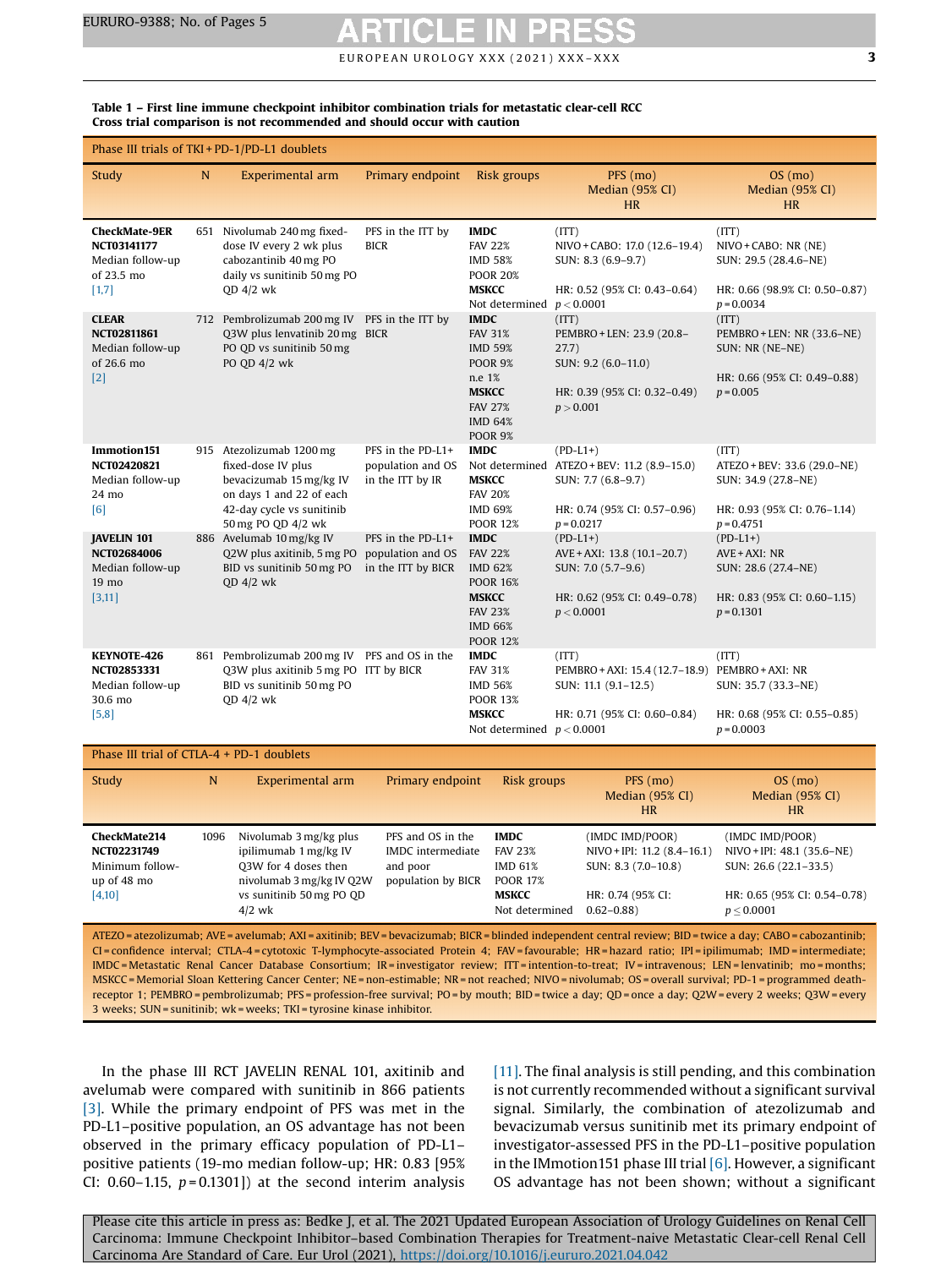$E$  U RO PEAN UROLOGY XXX (2021) XXX-XXX  $\sim$  3

| Phase III trials of TKI + PD-1/PD-L1 doublets                                                                                                                                                                                                                                                                                                                                                                                                                                         |      |                                                                                                                                                          |                                                                          |                                                                                                                                                   |                                                                                                                                 |                                                                                                                          |
|---------------------------------------------------------------------------------------------------------------------------------------------------------------------------------------------------------------------------------------------------------------------------------------------------------------------------------------------------------------------------------------------------------------------------------------------------------------------------------------|------|----------------------------------------------------------------------------------------------------------------------------------------------------------|--------------------------------------------------------------------------|---------------------------------------------------------------------------------------------------------------------------------------------------|---------------------------------------------------------------------------------------------------------------------------------|--------------------------------------------------------------------------------------------------------------------------|
| Study                                                                                                                                                                                                                                                                                                                                                                                                                                                                                 | N    | Experimental arm                                                                                                                                         | Primary endpoint                                                         | Risk groups                                                                                                                                       | PFS (mo)<br>Median (95% CI)<br><b>HR</b>                                                                                        | $OS$ (mo)<br>Median (95% CI)<br><b>HR</b>                                                                                |
| <b>CheckMate-9ER</b><br>NCT03141177<br>Median follow-up<br>of 23.5 mo<br>[1,7]                                                                                                                                                                                                                                                                                                                                                                                                        | 651  | Nivolumab 240 mg fixed-<br>dose IV every 2 wk plus<br>cabozantinib 40 mg PO<br>daily vs sunitinib 50 mg PO<br>$QD$ 4/2 wk                                | PFS in the ITT by<br><b>BICR</b>                                         | <b>IMDC</b><br><b>FAV 22%</b><br><b>IMD 58%</b><br><b>POOR 20%</b><br><b>MSKCC</b><br>Not determined $p < 0.0001$                                 | (ITT)<br>NIVO + CABO: 17.0 (12.6-19.4)<br>SUN: 8.3 (6.9-9.7)<br>HR: 0.52 (95% CI: 0.43-0.64)                                    | (TTT)<br>NIVO + CABO: NR (NE)<br>SUN: 29.5 (28.4.6-NE)<br>HR: 0.66 (98.9% CI: 0.50-0.87)<br>$p = 0.0034$                 |
| <b>CLEAR</b><br>NCT02811861<br>Median follow-up<br>of 26.6 mo<br>$[2]$                                                                                                                                                                                                                                                                                                                                                                                                                |      | 712 Pembrolizumab 200 mg IV PFS in the ITT by<br>Q3W plus lenvatinib 20 mg BICR<br>PO QD vs sunitinib 50 mg<br>PO QD 4/2 wk                              |                                                                          | <b>IMDC</b><br><b>FAV 31%</b><br><b>IMD 59%</b><br><b>POOR 9%</b><br>n.e 1%<br><b>MSKCC</b><br><b>FAV 27%</b><br><b>IMD 64%</b><br><b>POOR 9%</b> | (ITT)<br>PEMBRO + LEN: 23.9 (20.8-<br>27.7)<br>SUN: 9.2 (6.0-11.0)<br>HR: 0.39 (95% CI: 0.32-0.49)<br>p > 0.001                 | (ITT)<br>PEMBRO+LEN: NR (33.6-NE)<br>SUN: NR (NE-NE)<br>HR: 0.66 (95% CI: 0.49-0.88)<br>$p = 0.005$                      |
| Immotion151<br>NCT02420821<br>Median follow-up<br>24 mo<br>[6]                                                                                                                                                                                                                                                                                                                                                                                                                        |      | 915 Atezolizumab 1200 mg<br>fixed-dose IV plus<br>bevacizumab 15 mg/kg IV<br>on days 1 and 22 of each<br>42-day cycle vs sunitinib<br>50 mg PO QD 4/2 wk | PFS in the PD-L1+<br>population and OS<br>in the ITT by IR               | <b>IMDC</b><br><b>MSKCC</b><br><b>FAV 20%</b><br><b>IMD 69%</b><br><b>POOR 12%</b>                                                                | $(PD-L1+)$<br>Not determined ATEZO + BEV: 11.2 (8.9-15.0)<br>SUN: 7.7 (6.8-9.7)<br>HR: 0.74 (95% CI: 0.57-0.96)<br>$p = 0.0217$ | (ITT)<br>ATEZO + BEV: 33.6 (29.0-NE)<br>SUN: 34.9 (27.8-NE)<br>HR: 0.93 (95% CI: 0.76-1.14)<br>$p = 0.4751$              |
| <b>JAVELIN 101</b><br>NCT02684006<br>Median follow-up<br>19 mo<br>[3,11]                                                                                                                                                                                                                                                                                                                                                                                                              |      | 886 Avelumab 10 mg/kg IV<br>Q2W plus axitinib, 5 mg PO<br>BID vs sunitinib 50 mg PO<br>$QD$ 4/2 wk                                                       | PFS in the PD-L1+<br>population and OS<br>in the ITT by BICR             | <b>IMDC</b><br><b>FAV 22%</b><br><b>IMD 62%</b><br><b>POOR 16%</b><br><b>MSKCC</b><br><b>FAV 23%</b><br><b>IMD 66%</b><br><b>POOR 12%</b>         | $(PD-L1+)$<br>AVE + AXI: 13.8 (10.1-20.7)<br>SUN: 7.0 (5.7-9.6)<br>HR: 0.62 (95% CI: 0.49-0.78)<br>p < 0.0001                   | $(PD-L1+)$<br>AVE + AXI: NR<br>SUN: 28.6 (27.4-NE)<br>HR: 0.83 (95% CI: 0.60-1.15)<br>$p = 0.1301$                       |
| <b>KEYNOTE-426</b><br>NCT02853331<br>Median follow-up<br>30.6 mo<br>[5,8]                                                                                                                                                                                                                                                                                                                                                                                                             |      | 861 Pembrolizumab 200 mg IV PFS and OS in the<br>Q3W plus axitinib 5 mg PO ITT by BICR<br>BID vs sunitinib 50 mg PO<br>$QD$ 4/2 wk                       |                                                                          | <b>IMDC</b><br><b>FAV 31%</b><br><b>IMD 56%</b><br><b>POOR 13%</b><br><b>MSKCC</b><br>Not determined $p < 0.0001$                                 | (ITT)<br>PEMBRO + AXI: 15.4 (12.7-18.9) PEMBRO + AXI: NR<br>SUN: 11.1 (9.1-12.5)<br>HR: 0.71 (95% CI: 0.60-0.84)                | (ITT)<br>SUN: 35.7 (33.3-NE)<br>HR: 0.68 (95% CI: 0.55-0.85)<br>$p = 0.0003$                                             |
| Phase III trial of CTLA- $4$ + PD-1 doublets                                                                                                                                                                                                                                                                                                                                                                                                                                          |      |                                                                                                                                                          |                                                                          |                                                                                                                                                   |                                                                                                                                 |                                                                                                                          |
| Study                                                                                                                                                                                                                                                                                                                                                                                                                                                                                 | N    | Experimental arm                                                                                                                                         | Primary endpoint                                                         | Risk groups                                                                                                                                       | PFS (mo)<br>Median (95% CI)<br><b>HR</b>                                                                                        | OS (mo)<br>Median (95% CI)<br><b>HR</b>                                                                                  |
| CheckMate214<br>NCT02231749<br>Minimum follow-<br>up of 48 mo<br>[4,10]                                                                                                                                                                                                                                                                                                                                                                                                               | 1096 | Nivolumab 3 mg/kg plus<br>ipilimumab 1 mg/kg IV<br>03W for 4 doses then<br>nivolumab 3 mg/kg IV Q2W<br>vs sunitinib 50 mg PO QD<br>$4/2$ wk              | PFS and OS in the<br>IMDC intermediate<br>and poor<br>population by BICR | <b>IMDC</b><br><b>FAV 23%</b><br><b>IMD 61%</b><br><b>POOR 17%</b><br><b>MSKCC</b><br>Not determined                                              | (IMDC IMD/POOR)<br>$NIVO + IPI$ : 11.2 (8.4-16.1)<br>SUN: 8.3 (7.0-10.8)<br>HR: 0.74 (95% CI:<br>$0.62 - 0.88$                  | (IMDC IMD/POOR)<br>NIVO + IPI: 48.1 (35.6–NE)<br>SUN: 26.6 (22.1-33.5)<br>HR: 0.65 (95% CI: 0.54-0.78)<br>$p \le 0.0001$ |
| ATEZO = atezolizumab; AVE = avelumab; AXI = axitinib; BEV = bevacizumab; BICR = blinded independent central review; BID = twice a day; CABO = cabozantinib;<br>CI = confidence interval; CTLA-4 = cytotoxic T-lymphocyte-associated Protein 4; FAV = favourable; HR = hazard ratio; IPI = ipilimumab; IMD = intermediate;<br>IMDC = Metastatic Renal Cancer Database Consortium; IR = investigator review; ITT = intention-to-treat; IV = intravenous; LEN = lenvatinib; mo = months; |      |                                                                                                                                                          |                                                                          |                                                                                                                                                   |                                                                                                                                 |                                                                                                                          |

<span id="page-2-0"></span>Table 1 – First line immune checkpoint inhibitor combination trials for metastatic clear-cell RCC Cross trial comparison is not recommended and should occur with caution

MSKCC = Memorial Sloan Kettering Cancer Center; NE = non-estimable; NR = not reached; NIVO = nivolumab; OS = overall survival; PD-1 = programmed deathreceptor 1; PEMBRO = pembrolizumab; PFS = profession-free survival; PO = by mouth; BID = twice a day; QD = once a day; Q2W= every 2 weeks; Q3W= every 3 weeks; SUN = sunitinib; wk = weeks; TKI = tyrosine kinase inhibitor.

In the phase III RCT JAVELIN RENAL 101, axitinib and avelumab were compared with sunitinib in 866 patients [\[3\]](#page-4-0). While the primary endpoint of PFS was met in the PD-L1–positive population, an OS advantage has not been observed in the primary efficacy population of PD-L1– positive patients (19-mo median follow-up; HR: 0.83 [95% CI: 0.60–1.15,  $p = 0.1301$ ]) at the second interim analysis [\[11\].](#page-4-0) The final analysis is still pending, and this combination is not currently recommended without a significant survival signal. Similarly, the combination of atezolizumab and bevacizumab versus sunitinib met its primary endpoint of investigator-assessed PFS in the PD-L1–positive population in the IMmotion151 phase III trial  $[6]$ . However, a significant OS advantage has not been shown; without a significant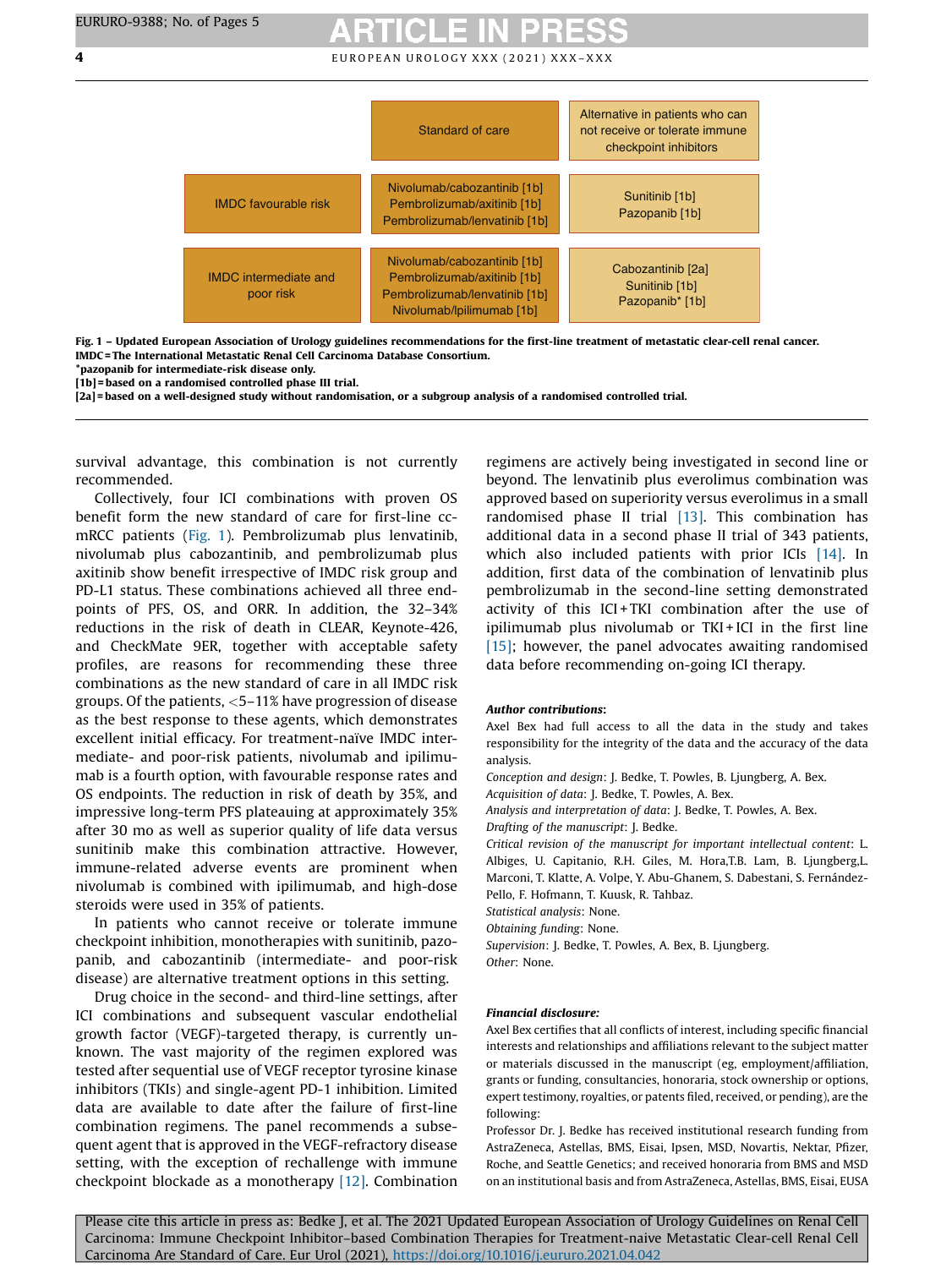**4** EUROPEAN UROLOGY XXX (2021) XXX-XXX



Fig. 1 – Updated European Association of Urology guidelines recommendations for the first-line treatment of metastatic clear-cell renal cancer. IMDC = The International Metastatic Renal Cell Carcinoma Database Consortium.

\*pazopanib for intermediate-risk disease only.

[1b] = based on a randomised controlled phase III trial.

[2a] = based on a well-designed study without randomisation, or a subgroup analysis of a randomised controlled trial.

survival advantage, this combination is not currently recommended.

Collectively, four ICI combinations with proven OS benefit form the new standard of care for first-line ccmRCC patients (Fig. 1). Pembrolizumab plus lenvatinib, nivolumab plus cabozantinib, and pembrolizumab plus axitinib show benefit irrespective of IMDC risk group and PD-L1 status. These combinations achieved all three endpoints of PFS, OS, and ORR. In addition, the 32–34% reductions in the risk of death in CLEAR, Keynote-426, and CheckMate 9ER, together with acceptable safety profiles, are reasons for recommending these three combinations as the new standard of care in all IMDC risk groups. Of the patients, <5–11% have progression of disease as the best response to these agents, which demonstrates excellent initial efficacy. For treatment-naïve IMDC intermediate- and poor-risk patients, nivolumab and ipilimumab is a fourth option, with favourable response rates and OS endpoints. The reduction in risk of death by 35%, and impressive long-term PFS plateauing at approximately 35% after 30 mo as well as superior quality of life data versus sunitinib make this combination attractive. However, immune-related adverse events are prominent when nivolumab is combined with ipilimumab, and high-dose steroids were used in 35% of patients.

In patients who cannot receive or tolerate immune checkpoint inhibition, monotherapies with sunitinib, pazopanib, and cabozantinib (intermediate- and poor-risk disease) are alternative treatment options in this setting.

Drug choice in the second- and third-line settings, after ICI combinations and subsequent vascular endothelial growth factor (VEGF)-targeted therapy, is currently unknown. The vast majority of the regimen explored was tested after sequential use of VEGF receptor tyrosine kinase inhibitors (TKIs) and single-agent PD-1 inhibition. Limited data are available to date after the failure of first-line combination regimens. The panel recommends a subsequent agent that is approved in the VEGF-refractory disease setting, with the exception of rechallenge with immune checkpoint blockade as a monotherapy [\[12\].](#page-4-0) Combination

regimens are actively being investigated in second line or beyond. The lenvatinib plus everolimus combination was approved based on superiority versus everolimus in a small randomised phase II trial [\[13\]](#page-4-0). This combination has additional data in a second phase II trial of 343 patients, which also included patients with prior ICIs [\[14\]](#page-4-0). In addition, first data of the combination of lenvatinib plus pembrolizumab in the second-line setting demonstrated activity of this ICI+TKI combination after the use of ipilimumab plus nivolumab or TKI + ICI in the first line  $[15]$ ; however, the panel advocates awaiting randomised data before recommending on-going ICI therapy.

### Author contributions:

Axel Bex had full access to all the data in the study and takes responsibility for the integrity of the data and the accuracy of the data analysis.

Conception and design: J. Bedke, T. Powles, B. Ljungberg, A. Bex. Acquisition of data: J. Bedke, T. Powles, A. Bex.

Analysis and interpretation of data: J. Bedke, T. Powles, A. Bex.

Drafting of the manuscript: J. Bedke.

Critical revision of the manuscript for important intellectual content: L. Albiges, U. Capitanio, R.H. Giles, M. Hora,T.B. Lam, B. Ljungberg,L. Marconi, T. Klatte, A. Volpe, Y. Abu-Ghanem, S. Dabestani, S. Fernández-Pello, F. Hofmann, T. Kuusk, R. Tahbaz.

Statistical analysis: None.

Obtaining funding: None.

Supervision: J. Bedke, T. Powles, A. Bex, B. Ljungberg.

Other: None.

### Financial disclosure:

Axel Bex certifies that all conflicts of interest, including specific financial interests and relationships and affiliations relevant to the subject matter or materials discussed in the manuscript (eg, employment/affiliation, grants or funding, consultancies, honoraria, stock ownership or options, expert testimony, royalties, or patents filed, received, or pending), are the following:

Professor Dr. J. Bedke has received institutional research funding from AstraZeneca, Astellas, BMS, Eisai, Ipsen, MSD, Novartis, Nektar, Pfizer, Roche, and Seattle Genetics; and received honoraria from BMS and MSD on an institutional basis and from AstraZeneca, Astellas, BMS, Eisai, EUSA